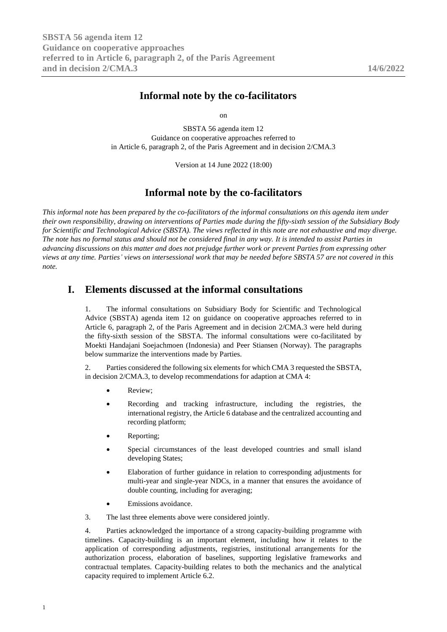# **Informal note by the co-facilitators**

on

SBSTA 56 agenda item 12 Guidance on cooperative approaches referred to in Article 6, paragraph 2, of the Paris Agreement and in decision 2/CMA.3

Version at 14 June 2022 (18:00)

## **Informal note by the co-facilitators**

*This informal note has been prepared by the co-facilitators of the informal consultations on this agenda item under their own responsibility, drawing on interventions of Parties made during the fifty-sixth session of the Subsidiary Body for Scientific and Technological Advice (SBSTA). The views reflected in this note are not exhaustive and may diverge. The note has no formal status and should not be considered final in any way. It is intended to assist Parties in advancing discussions on this matter and does not prejudge further work or prevent Parties from expressing other views at any time. Parties' views on intersessional work that may be needed before SBSTA 57 are not covered in this note.*

## **I. Elements discussed at the informal consultations**

1. The informal consultations on Subsidiary Body for Scientific and Technological Advice (SBSTA) agenda item 12 on guidance on cooperative approaches referred to in Article 6, paragraph 2, of the Paris Agreement and in decision 2/CMA.3 were held during the fifty-sixth session of the SBSTA. The informal consultations were co-facilitated by Moekti Handajani Soejachmoen (Indonesia) and Peer Stiansen (Norway). The paragraphs below summarize the interventions made by Parties.

2. Parties considered the following six elements for which CMA 3 requested the SBSTA, in decision 2/CMA.3, to develop recommendations for adaption at CMA 4:

- Review:
- Recording and tracking infrastructure, including the registries, the international registry, the Article 6 database and the centralized accounting and recording platform;
- Reporting;
- Special circumstances of the least developed countries and small island developing States;
- Elaboration of further guidance in relation to corresponding adjustments for multi-year and single-year NDCs, in a manner that ensures the avoidance of double counting, including for averaging;
- Emissions avoidance.

3. The last three elements above were considered jointly.

4. Parties acknowledged the importance of a strong capacity-building programme with timelines. Capacity-building is an important element, including how it relates to the application of corresponding adjustments, registries, institutional arrangements for the authorization process, elaboration of baselines, supporting legislative frameworks and contractual templates. Capacity-building relates to both the mechanics and the analytical capacity required to implement Article 6.2.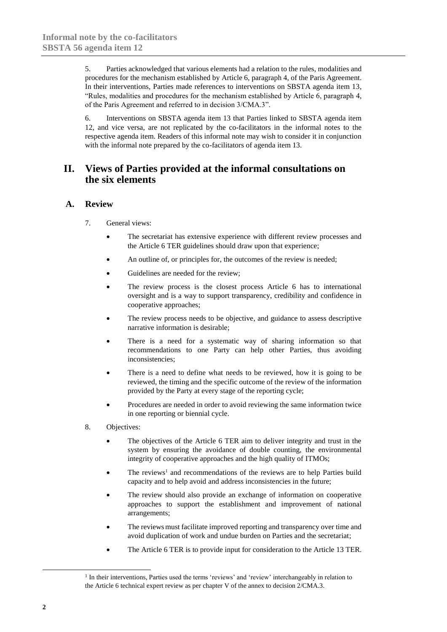5. Parties acknowledged that various elements had a relation to the rules, modalities and procedures for the mechanism established by Article 6, paragraph 4, of the Paris Agreement. In their interventions, Parties made references to interventions on SBSTA agenda item 13, "Rules, modalities and procedures for the mechanism established by Article 6, paragraph 4, of the Paris Agreement and referred to in decision 3/CMA.3".

6. Interventions on SBSTA agenda item 13 that Parties linked to SBSTA agenda item 12, and vice versa, are not replicated by the co-facilitators in the informal notes to the respective agenda item. Readers of this informal note may wish to consider it in conjunction with the informal note prepared by the co-facilitators of agenda item 13.

## **II. Views of Parties provided at the informal consultations on the six elements**

### **A. Review**

- 7. General views:
	- The secretariat has extensive experience with different review processes and the Article 6 TER guidelines should draw upon that experience;
	- An outline of, or principles for, the outcomes of the review is needed;
	- Guidelines are needed for the review;
	- The review process is the closest process Article 6 has to international oversight and is a way to support transparency, credibility and confidence in cooperative approaches;
	- The review process needs to be objective, and guidance to assess descriptive narrative information is desirable;
	- There is a need for a systematic way of sharing information so that recommendations to one Party can help other Parties, thus avoiding inconsistencies;
	- There is a need to define what needs to be reviewed, how it is going to be reviewed, the timing and the specific outcome of the review of the information provided by the Party at every stage of the reporting cycle;
	- Procedures are needed in order to avoid reviewing the same information twice in one reporting or biennial cycle.
- 8. Objectives:
	- The objectives of the Article 6 TER aim to deliver integrity and trust in the system by ensuring the avoidance of double counting, the environmental integrity of cooperative approaches and the high quality of ITMOs;
	- The reviews<sup>1</sup> and recommendations of the reviews are to help Parties build capacity and to help avoid and address inconsistencies in the future;
	- The review should also provide an exchange of information on cooperative approaches to support the establishment and improvement of national arrangements;
	- The reviews must facilitate improved reporting and transparency over time and avoid duplication of work and undue burden on Parties and the secretariat;
	- The Article 6 TER is to provide input for consideration to the Article 13 TER.

1

<sup>&</sup>lt;sup>1</sup> In their interventions, Parties used the terms 'reviews' and 'review' interchangeably in relation to the Article 6 technical expert review as per chapter V of the annex to decision 2/CMA.3.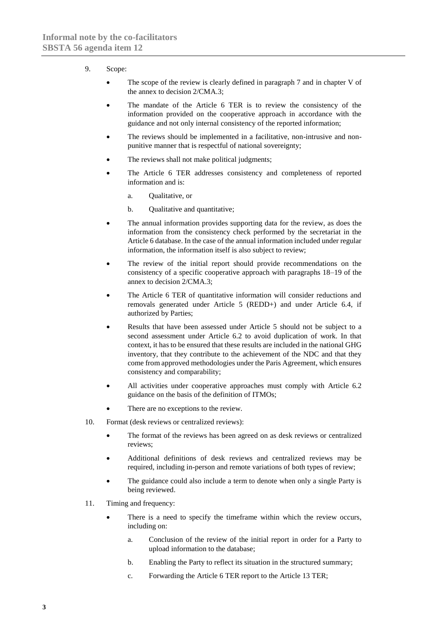#### 9. Scope:

- The scope of the review is clearly defined in paragraph 7 and in chapter V of the annex to decision 2/CMA.3;
- The mandate of the Article 6 TER is to review the consistency of the information provided on the cooperative approach in accordance with the guidance and not only internal consistency of the reported information;
- The reviews should be implemented in a facilitative, non-intrusive and nonpunitive manner that is respectful of national sovereignty;
- The reviews shall not make political judgments;
- The Article 6 TER addresses consistency and completeness of reported information and is:
	- a. Qualitative, or
	- b. Qualitative and quantitative;
- The annual information provides supporting data for the review, as does the information from the consistency check performed by the secretariat in the Article 6 database. In the case of the annual information included under regular information, the information itself is also subject to review;
- The review of the initial report should provide recommendations on the consistency of a specific cooperative approach with paragraphs 18–19 of the annex to decision 2/CMA.3;
- The Article 6 TER of quantitative information will consider reductions and removals generated under Article 5 (REDD+) and under Article 6.4, if authorized by Parties;
- Results that have been assessed under Article 5 should not be subject to a second assessment under Article 6.2 to avoid duplication of work. In that context, it has to be ensured that these results are included in the national GHG inventory, that they contribute to the achievement of the NDC and that they come from approved methodologies under the Paris Agreement, which ensures consistency and comparability;
- All activities under cooperative approaches must comply with Article 6.2 guidance on the basis of the definition of ITMOs;
- There are no exceptions to the review.
- 10. Format (desk reviews or centralized reviews):
	- The format of the reviews has been agreed on as desk reviews or centralized reviews;
	- Additional definitions of desk reviews and centralized reviews may be required, including in-person and remote variations of both types of review;
	- The guidance could also include a term to denote when only a single Party is being reviewed.
- 11. Timing and frequency:
	- There is a need to specify the timeframe within which the review occurs, including on:
		- a. Conclusion of the review of the initial report in order for a Party to upload information to the database;
		- b. Enabling the Party to reflect its situation in the structured summary;
		- c. Forwarding the Article 6 TER report to the Article 13 TER;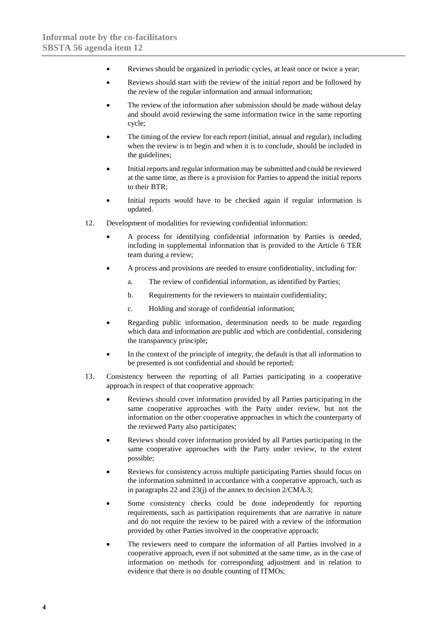- Reviews should be organized in periodic cycles, at least once or twice a year;
- Reviews should start with the review of the initial report and be followed by the review of the regular information and annual information;
- The review of the information after submission should be made without delay and should avoid reviewing the same information twice in the same reporting cycle;
- The timing of the review for each report (initial, annual and regular), including when the review is to begin and when it is to conclude, should be included in the guidelines;
- Initial reports and regular information may be submitted and could be reviewed at the same time, as there is a provision for Parties to append the initial reports to their BTR;
- Initial reports would have to be checked again if regular information is updated.
- 12. Development of modalities for reviewing confidential information:
	- A process for identifying confidential information by Parties is needed, including in supplemental information that is provided to the Article 6 TER team during a review;
	- A process and provisions are needed to ensure confidentiality, including for:
		- a. The review of confidential information, as identified by Parties;
		- b. Requirements for the reviewers to maintain confidentiality;
		- c. Holding and storage of confidential information;
	- Regarding public information, determination needs to be made regarding which data and information are public and which are confidential, considering the transparency principle;
	- In the context of the principle of integrity, the default is that all information to be presented is not confidential and should be reported;
- 13. Consistency between the reporting of all Parties participating in a cooperative approach in respect of that cooperative approach:
	- Reviews should cover information provided by all Parties participating in the same cooperative approaches with the Party under review, but not the information on the other cooperative approaches in which the counterparty of the reviewed Party also participates;
	- Reviews should cover information provided by all Parties participating in the same cooperative approaches with the Party under review, to the extent possible;
	- Reviews for consistency across multiple participating Parties should focus on the information submitted in accordance with a cooperative approach, such as in paragraphs 22 and 23(j) of the annex to decision 2/CMA.3;
	- Some consistency checks could be done independently for reporting requirements, such as participation requirements that are narrative in nature and do not require the review to be paired with a review of the information provided by other Parties involved in the cooperative approach;
	- The reviewers need to compare the information of all Parties involved in a cooperative approach, even if not submitted at the same time, as in the case of information on methods for corresponding adjustment and in relation to evidence that there is no double counting of ITMOs;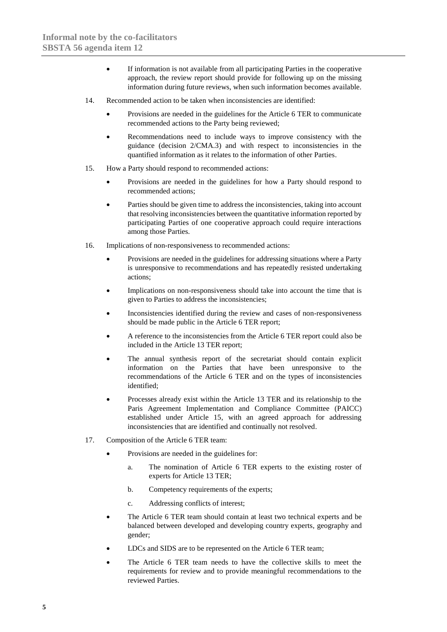- If information is not available from all participating Parties in the cooperative approach, the review report should provide for following up on the missing information during future reviews, when such information becomes available.
- 14. Recommended action to be taken when inconsistencies are identified:
	- Provisions are needed in the guidelines for the Article 6 TER to communicate recommended actions to the Party being reviewed;
	- Recommendations need to include ways to improve consistency with the guidance (decision 2/CMA.3) and with respect to inconsistencies in the quantified information as it relates to the information of other Parties.
- 15. How a Party should respond to recommended actions:
	- Provisions are needed in the guidelines for how a Party should respond to recommended actions;
	- Parties should be given time to address the inconsistencies, taking into account that resolving inconsistencies between the quantitative information reported by participating Parties of one cooperative approach could require interactions among those Parties.
- 16. Implications of non-responsiveness to recommended actions:
	- Provisions are needed in the guidelines for addressing situations where a Party is unresponsive to recommendations and has repeatedly resisted undertaking actions;
	- Implications on non-responsiveness should take into account the time that is given to Parties to address the inconsistencies;
	- Inconsistencies identified during the review and cases of non-responsiveness should be made public in the Article 6 TER report;
	- A reference to the inconsistencies from the Article 6 TER report could also be included in the Article 13 TER report;
	- The annual synthesis report of the secretariat should contain explicit information on the Parties that have been unresponsive to the recommendations of the Article 6 TER and on the types of inconsistencies identified;
	- Processes already exist within the Article 13 TER and its relationship to the Paris Agreement Implementation and Compliance Committee (PAICC) established under Article 15, with an agreed approach for addressing inconsistencies that are identified and continually not resolved.
- 17. Composition of the Article 6 TER team:
	- Provisions are needed in the guidelines for:
		- a. The nomination of Article 6 TER experts to the existing roster of experts for Article 13 TER;
		- b. Competency requirements of the experts;
		- c. Addressing conflicts of interest;
	- The Article 6 TER team should contain at least two technical experts and be balanced between developed and developing country experts, geography and gender;
	- LDCs and SIDS are to be represented on the Article 6 TER team;
	- The Article 6 TER team needs to have the collective skills to meet the requirements for review and to provide meaningful recommendations to the reviewed Parties.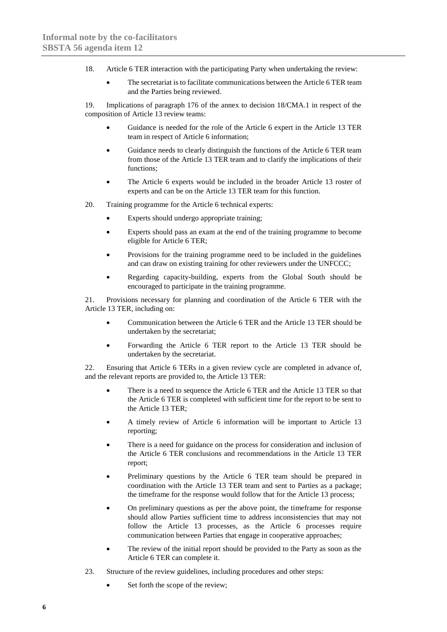- 18. Article 6 TER interaction with the participating Party when undertaking the review:
	- The secretariat is to facilitate communications between the Article 6 TER team and the Parties being reviewed.

19. Implications of paragraph 176 of the annex to decision 18/CMA.1 in respect of the composition of Article 13 review teams:

- Guidance is needed for the role of the Article 6 expert in the Article 13 TER team in respect of Article 6 information;
- Guidance needs to clearly distinguish the functions of the Article 6 TER team from those of the Article 13 TER team and to clarify the implications of their functions;
- The Article 6 experts would be included in the broader Article 13 roster of experts and can be on the Article 13 TER team for this function.
- 20. Training programme for the Article 6 technical experts:
	- Experts should undergo appropriate training;
	- Experts should pass an exam at the end of the training programme to become eligible for Article 6 TER;
	- Provisions for the training programme need to be included in the guidelines and can draw on existing training for other reviewers under the UNFCCC;
	- Regarding capacity-building, experts from the Global South should be encouraged to participate in the training programme.

21. Provisions necessary for planning and coordination of the Article 6 TER with the Article 13 TER, including on:

- Communication between the Article 6 TER and the Article 13 TER should be undertaken by the secretariat;
- Forwarding the Article 6 TER report to the Article 13 TER should be undertaken by the secretariat.

22. Ensuring that Article 6 TERs in a given review cycle are completed in advance of, and the relevant reports are provided to, the Article 13 TER:

- There is a need to sequence the Article 6 TER and the Article 13 TER so that the Article 6 TER is completed with sufficient time for the report to be sent to the Article 13 TER;
- A timely review of Article 6 information will be important to Article 13 reporting;
- There is a need for guidance on the process for consideration and inclusion of the Article 6 TER conclusions and recommendations in the Article 13 TER report;
- Preliminary questions by the Article 6 TER team should be prepared in coordination with the Article 13 TER team and sent to Parties as a package; the timeframe for the response would follow that for the Article 13 process;
- On preliminary questions as per the above point, the timeframe for response should allow Parties sufficient time to address inconsistencies that may not follow the Article 13 processes, as the Article 6 processes require communication between Parties that engage in cooperative approaches;
- The review of the initial report should be provided to the Party as soon as the Article 6 TER can complete it.
- 23. Structure of the review guidelines, including procedures and other steps:
	- Set forth the scope of the review;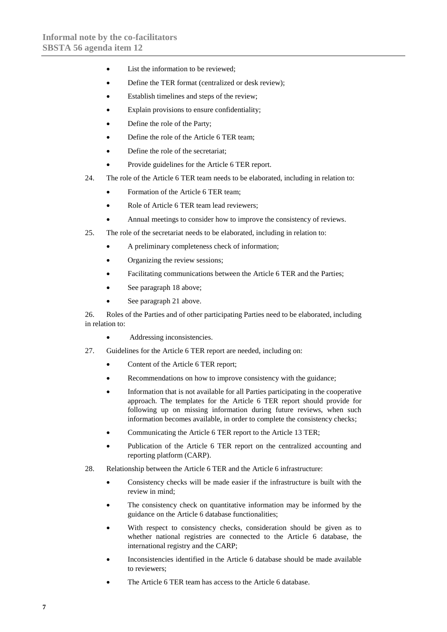- List the information to be reviewed;
- Define the TER format (centralized or desk review):
- Establish timelines and steps of the review;
- Explain provisions to ensure confidentiality;
- Define the role of the Party;
- Define the role of the Article 6 TER team;
- Define the role of the secretariat;
- Provide guidelines for the Article 6 TER report.
- 24. The role of the Article 6 TER team needs to be elaborated, including in relation to:
	- Formation of the Article 6 TER team;
	- Role of Article 6 TER team lead reviewers;
	- Annual meetings to consider how to improve the consistency of reviews.
- 25. The role of the secretariat needs to be elaborated, including in relation to:
	- A preliminary completeness check of information;
	- Organizing the review sessions:
	- Facilitating communications between the Article 6 TER and the Parties;
	- See paragraph 18 above;
	- See paragraph 21 above.

26. Roles of the Parties and of other participating Parties need to be elaborated, including in relation to:

- Addressing inconsistencies.
- 27. Guidelines for the Article 6 TER report are needed, including on:
	- Content of the Article 6 TER report;
	- Recommendations on how to improve consistency with the guidance;
	- Information that is not available for all Parties participating in the cooperative approach. The templates for the Article 6 TER report should provide for following up on missing information during future reviews, when such information becomes available, in order to complete the consistency checks;
	- Communicating the Article 6 TER report to the Article 13 TER;
	- Publication of the Article 6 TER report on the centralized accounting and reporting platform (CARP).
- 28. Relationship between the Article 6 TER and the Article 6 infrastructure:
	- Consistency checks will be made easier if the infrastructure is built with the review in mind;
	- The consistency check on quantitative information may be informed by the guidance on the Article 6 database functionalities;
	- With respect to consistency checks, consideration should be given as to whether national registries are connected to the Article 6 database, the international registry and the CARP;
	- Inconsistencies identified in the Article 6 database should be made available to reviewers;
	- The Article 6 TER team has access to the Article 6 database.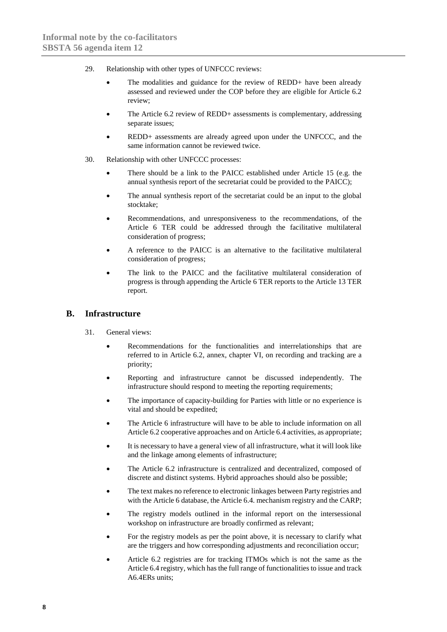- 29. Relationship with other types of UNFCCC reviews:
	- The modalities and guidance for the review of REDD+ have been already assessed and reviewed under the COP before they are eligible for Article 6.2 review;
	- The Article 6.2 review of REDD+ assessments is complementary, addressing separate issues;
	- REDD+ assessments are already agreed upon under the UNFCCC, and the same information cannot be reviewed twice.
- 30. Relationship with other UNFCCC processes:
	- There should be a link to the PAICC established under Article 15 (e.g. the annual synthesis report of the secretariat could be provided to the PAICC);
	- The annual synthesis report of the secretariat could be an input to the global stocktake;
	- Recommendations, and unresponsiveness to the recommendations, of the Article 6 TER could be addressed through the facilitative multilateral consideration of progress;
	- A reference to the PAICC is an alternative to the facilitative multilateral consideration of progress;
	- The link to the PAICC and the facilitative multilateral consideration of progress is through appending the Article 6 TER reports to the Article 13 TER report.

### **B. Infrastructure**

- 31. General views:
	- Recommendations for the functionalities and interrelationships that are referred to in Article 6.2, annex, chapter VI, on recording and tracking are a priority;
	- Reporting and infrastructure cannot be discussed independently. The infrastructure should respond to meeting the reporting requirements;
	- The importance of capacity-building for Parties with little or no experience is vital and should be expedited;
	- The Article 6 infrastructure will have to be able to include information on all Article 6.2 cooperative approaches and on Article 6.4 activities, as appropriate;
	- It is necessary to have a general view of all infrastructure, what it will look like and the linkage among elements of infrastructure;
	- The Article 6.2 infrastructure is centralized and decentralized, composed of discrete and distinct systems. Hybrid approaches should also be possible;
	- The text makes no reference to electronic linkages between Party registries and with the Article 6 database, the Article 6.4. mechanism registry and the CARP;
	- The registry models outlined in the informal report on the intersessional workshop on infrastructure are broadly confirmed as relevant;
	- For the registry models as per the point above, it is necessary to clarify what are the triggers and how corresponding adjustments and reconciliation occur;
	- Article 6.2 registries are for tracking ITMOs which is not the same as the Article 6.4 registry, which has the full range of functionalities to issue and track A6.4ERs units;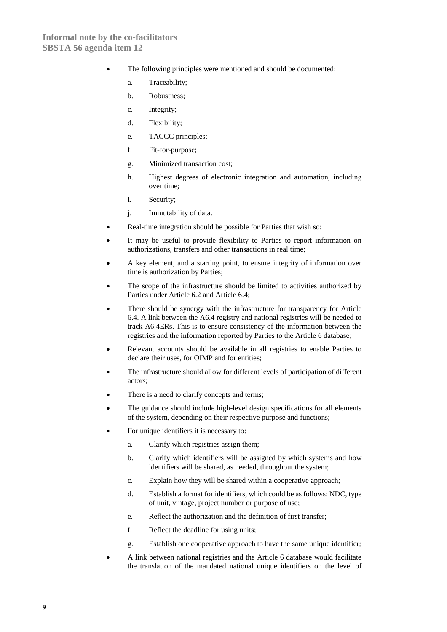- The following principles were mentioned and should be documented:
	- a. Traceability;
	- b. Robustness;
	- c. Integrity;
	- d. Flexibility;
	- e. TACCC principles;
	- f. Fit-for-purpose;
	- g. Minimized transaction cost;
	- h. Highest degrees of electronic integration and automation, including over time;
	- i. Security;
	- j. Immutability of data.
- Real-time integration should be possible for Parties that wish so:
- It may be useful to provide flexibility to Parties to report information on authorizations, transfers and other transactions in real time;
- A key element, and a starting point, to ensure integrity of information over time is authorization by Parties;
- The scope of the infrastructure should be limited to activities authorized by Parties under Article 6.2 and Article 6.4;
- There should be synergy with the infrastructure for transparency for Article 6.4. A link between the A6.4 registry and national registries will be needed to track A6.4ERs. This is to ensure consistency of the information between the registries and the information reported by Parties to the Article 6 database;
- Relevant accounts should be available in all registries to enable Parties to declare their uses, for OIMP and for entities;
- The infrastructure should allow for different levels of participation of different actors;
- There is a need to clarify concepts and terms;
- The guidance should include high-level design specifications for all elements of the system, depending on their respective purpose and functions;
- For unique identifiers it is necessary to:
	- a. Clarify which registries assign them;
	- b. Clarify which identifiers will be assigned by which systems and how identifiers will be shared, as needed, throughout the system;
	- c. Explain how they will be shared within a cooperative approach;
	- d. Establish a format for identifiers, which could be as follows: NDC, type of unit, vintage, project number or purpose of use;
	- e. Reflect the authorization and the definition of first transfer;
	- f. Reflect the deadline for using units;
	- g. Establish one cooperative approach to have the same unique identifier;
- A link between national registries and the Article 6 database would facilitate the translation of the mandated national unique identifiers on the level of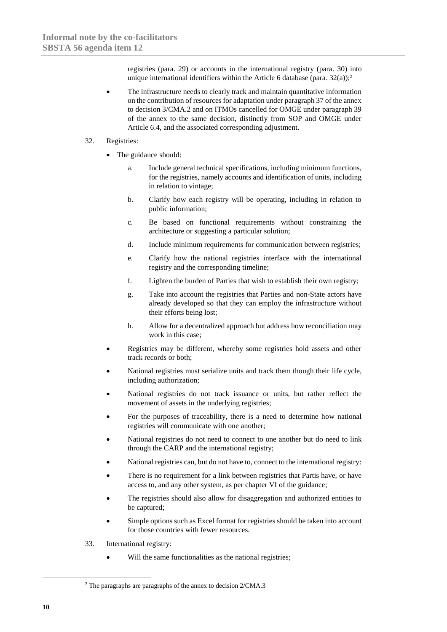registries (para. 29) or accounts in the international registry (para. 30) into unique international identifiers within the Article 6 database (para.  $32(a)$ );<sup>2</sup>

The infrastructure needs to clearly track and maintain quantitative information on the contribution of resources for adaptation under paragraph 37 of the annex to decision 3/CMA.2 and on ITMOs cancelled for OMGE under paragraph 39 of the annex to the same decision, distinctly from SOP and OMGE under Article 6.4, and the associated corresponding adjustment.

#### 32. Registries:

- The guidance should:
	- a. Include general technical specifications, including minimum functions, for the registries, namely accounts and identification of units, including in relation to vintage;
	- b. Clarify how each registry will be operating, including in relation to public information;
	- c. Be based on functional requirements without constraining the architecture or suggesting a particular solution;
	- d. Include minimum requirements for communication between registries;
	- e. Clarify how the national registries interface with the international registry and the corresponding timeline;
	- f. Lighten the burden of Parties that wish to establish their own registry;
	- g. Take into account the registries that Parties and non-State actors have already developed so that they can employ the infrastructure without their efforts being lost;
	- h. Allow for a decentralized approach but address how reconciliation may work in this case;
- Registries may be different, whereby some registries hold assets and other track records or both;
- National registries must serialize units and track them though their life cycle, including authorization;
- National registries do not track issuance or units, but rather reflect the movement of assets in the underlying registries;
- For the purposes of traceability, there is a need to determine how national registries will communicate with one another;
- National registries do not need to connect to one another but do need to link through the CARP and the international registry;
- National registries can, but do not have to, connect to the international registry:
- There is no requirement for a link between registries that Partis have, or have access to, and any other system, as per chapter VI of the guidance;
- The registries should also allow for disaggregation and authorized entities to be captured;
- Simple options such as Excel format for registries should be taken into account for those countries with fewer resources.
- 33. International registry:
	- Will the same functionalities as the national registries;

-

<sup>2</sup> The paragraphs are paragraphs of the annex to decision 2/CMA.3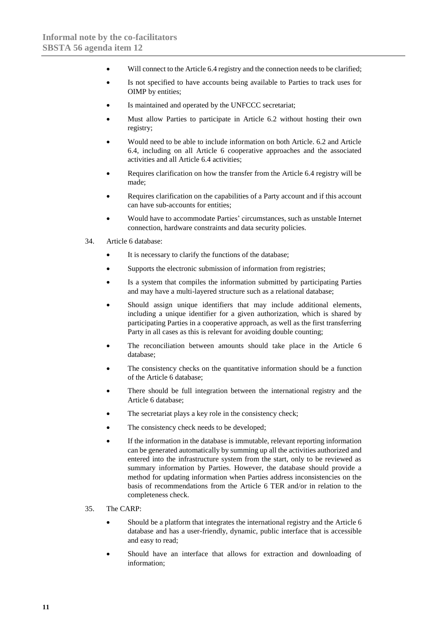- Will connect to the Article 6.4 registry and the connection needs to be clarified;
- Is not specified to have accounts being available to Parties to track uses for OIMP by entities;
- Is maintained and operated by the UNFCCC secretariat;
- Must allow Parties to participate in Article 6.2 without hosting their own registry;
- Would need to be able to include information on both Article. 6.2 and Article 6.4, including on all Article 6 cooperative approaches and the associated activities and all Article 6.4 activities;
- Requires clarification on how the transfer from the Article 6.4 registry will be made;
- Requires clarification on the capabilities of a Party account and if this account can have sub-accounts for entities;
- Would have to accommodate Parties' circumstances, such as unstable Internet connection, hardware constraints and data security policies.
- 34. Article 6 database:
	- It is necessary to clarify the functions of the database:
	- Supports the electronic submission of information from registries;
	- Is a system that compiles the information submitted by participating Parties and may have a multi-layered structure such as a relational database;
	- Should assign unique identifiers that may include additional elements, including a unique identifier for a given authorization, which is shared by participating Parties in a cooperative approach, as well as the first transferring Party in all cases as this is relevant for avoiding double counting;
	- The reconciliation between amounts should take place in the Article 6 database;
	- The consistency checks on the quantitative information should be a function of the Article 6 database;
	- There should be full integration between the international registry and the Article 6 database;
	- The secretariat plays a key role in the consistency check;
	- The consistency check needs to be developed;
	- If the information in the database is immutable, relevant reporting information can be generated automatically by summing up all the activities authorized and entered into the infrastructure system from the start, only to be reviewed as summary information by Parties. However, the database should provide a method for updating information when Parties address inconsistencies on the basis of recommendations from the Article 6 TER and/or in relation to the completeness check.
- 35. The CARP:
	- Should be a platform that integrates the international registry and the Article 6 database and has a user-friendly, dynamic, public interface that is accessible and easy to read;
	- Should have an interface that allows for extraction and downloading of information;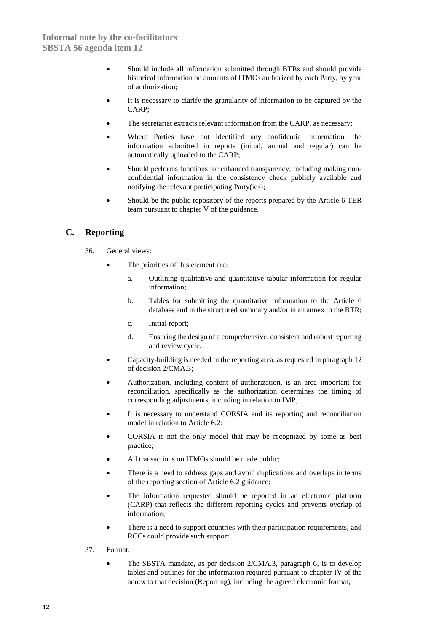- Should include all information submitted through BTRs and should provide historical information on amounts of ITMOs authorized by each Party, by year of authorization;
- It is necessary to clarify the granularity of information to be captured by the CARP;
- The secretariat extracts relevant information from the CARP, as necessary:
- Where Parties have not identified any confidential information, the information submitted in reports (initial, annual and regular) can be automatically uploaded to the CARP;
- Should performs functions for enhanced transparency, including making nonconfidential information in the consistency check publicly available and notifying the relevant participating Party(ies);
- Should be the public repository of the reports prepared by the Article 6 TER team pursuant to chapter V of the guidance.

### **C. Reporting**

- 36. General views:
	- The priorities of this element are:
		- a. Outlining qualitative and quantitative tabular information for regular information;
		- b. Tables for submitting the quantitative information to the Article 6 database and in the structured summary and/or in an annex to the BTR;
		- c. Initial report;
		- d. Ensuring the design of a comprehensive, consistent and robust reporting and review cycle.
	- Capacity-building is needed in the reporting area, as requested in paragraph 12 of decision 2/CMA.3;
	- Authorization, including content of authorization, is an area important for reconciliation, specifically as the authorization determines the timing of corresponding adjustments, including in relation to IMP;
	- It is necessary to understand CORSIA and its reporting and reconciliation model in relation to Article 6.2;
	- CORSIA is not the only model that may be recognized by some as best practice;
	- All transactions on ITMOs should be made public:
	- There is a need to address gaps and avoid duplications and overlaps in terms of the reporting section of Article 6.2 guidance;
	- The information requested should be reported in an electronic platform (CARP) that reflects the different reporting cycles and prevents overlap of information;
	- There is a need to support countries with their participation requirements, and RCCs could provide such support.
- 37. Format:
	- The SBSTA mandate, as per decision 2/CMA.3, paragraph 6, is to develop tables and outlines for the information required pursuant to chapter IV of the annex to that decision (Reporting), including the agreed electronic format;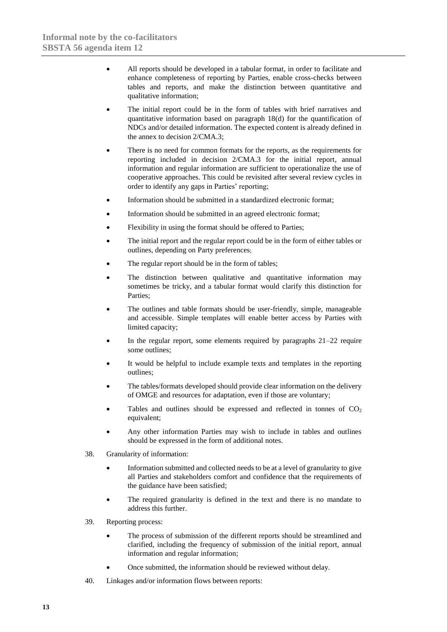- All reports should be developed in a tabular format, in order to facilitate and enhance completeness of reporting by Parties, enable cross-checks between tables and reports, and make the distinction between quantitative and qualitative information;
- The initial report could be in the form of tables with brief narratives and quantitative information based on paragraph 18(d) for the quantification of NDCs and/or detailed information. The expected content is already defined in the annex to decision 2/CMA.3;
- There is no need for common formats for the reports, as the requirements for reporting included in decision 2/CMA.3 for the initial report, annual information and regular information are sufficient to operationalize the use of cooperative approaches. This could be revisited after several review cycles in order to identify any gaps in Parties' reporting;
- Information should be submitted in a standardized electronic format;
- Information should be submitted in an agreed electronic format;
- Flexibility in using the format should be offered to Parties;
- The initial report and the regular report could be in the form of either tables or outlines, depending on Party preferences;
- The regular report should be in the form of tables;
- The distinction between qualitative and quantitative information may sometimes be tricky, and a tabular format would clarify this distinction for Parties;
- The outlines and table formats should be user-friendly, simple, manageable and accessible. Simple templates will enable better access by Parties with limited capacity;
- In the regular report, some elements required by paragraphs  $21-22$  require some outlines;
- It would be helpful to include example texts and templates in the reporting outlines;
- The tables/formats developed should provide clear information on the delivery of OMGE and resources for adaptation, even if those are voluntary;
- Tables and outlines should be expressed and reflected in tonnes of  $CO<sub>2</sub>$ equivalent;
- Any other information Parties may wish to include in tables and outlines should be expressed in the form of additional notes.
- 38. Granularity of information:
	- Information submitted and collected needs to be at a level of granularity to give all Parties and stakeholders comfort and confidence that the requirements of the guidance have been satisfied;
	- The required granularity is defined in the text and there is no mandate to address this further.
- 39. Reporting process:
	- The process of submission of the different reports should be streamlined and clarified, including the frequency of submission of the initial report, annual information and regular information;
	- Once submitted, the information should be reviewed without delay.
- 40. Linkages and/or information flows between reports: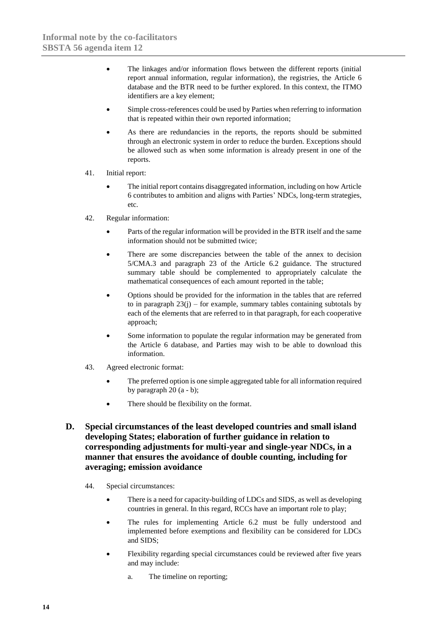- The linkages and/or information flows between the different reports (initial report annual information, regular information), the registries, the Article 6 database and the BTR need to be further explored. In this context, the ITMO identifiers are a key element;
- Simple cross-references could be used by Parties when referring to information that is repeated within their own reported information;
- As there are redundancies in the reports, the reports should be submitted through an electronic system in order to reduce the burden. Exceptions should be allowed such as when some information is already present in one of the reports.
- 41. Initial report:
	- The initial report contains disaggregated information, including on how Article 6 contributes to ambition and aligns with Parties' NDCs, long-term strategies, etc.
- 42. Regular information:
	- Parts of the regular information will be provided in the BTR itself and the same information should not be submitted twice;
	- There are some discrepancies between the table of the annex to decision 5/CMA.3 and paragraph 23 of the Article 6.2 guidance. The structured summary table should be complemented to appropriately calculate the mathematical consequences of each amount reported in the table;
	- Options should be provided for the information in the tables that are referred to in paragraph  $23(j)$  – for example, summary tables containing subtotals by each of the elements that are referred to in that paragraph, for each cooperative approach;
	- Some information to populate the regular information may be generated from the Article 6 database, and Parties may wish to be able to download this information.
- 43. Agreed electronic format:
	- The preferred option is one simple aggregated table for all information required by paragraph  $20(a - b)$ ;
	- There should be flexibility on the format.
- **D. Special circumstances of the least developed countries and small island developing States; elaboration of further guidance in relation to corresponding adjustments for multi-year and single-year NDCs, in a manner that ensures the avoidance of double counting, including for averaging; emission avoidance**
	- 44. Special circumstances:
		- There is a need for capacity-building of LDCs and SIDS, as well as developing countries in general. In this regard, RCCs have an important role to play;
		- The rules for implementing Article 6.2 must be fully understood and implemented before exemptions and flexibility can be considered for LDCs and SIDS;
		- Flexibility regarding special circumstances could be reviewed after five years and may include:
			- a. The timeline on reporting;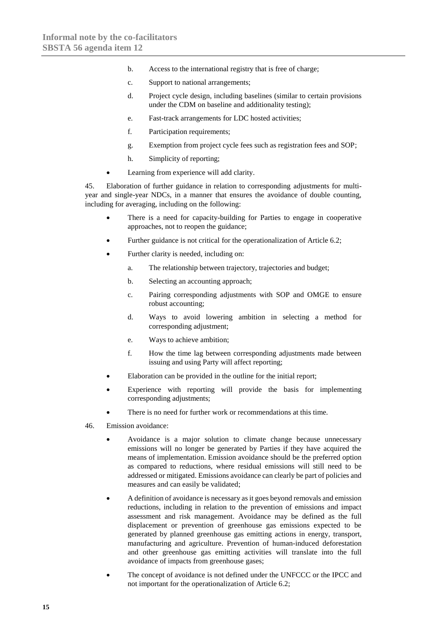- b. Access to the international registry that is free of charge;
- c. Support to national arrangements;
- d. Project cycle design, including baselines (similar to certain provisions under the CDM on baseline and additionality testing);
- e. Fast-track arrangements for LDC hosted activities;
- f. Participation requirements;
- g. Exemption from project cycle fees such as registration fees and SOP;
- h. Simplicity of reporting;
- Learning from experience will add clarity.

45. Elaboration of further guidance in relation to corresponding adjustments for multiyear and single-year NDCs, in a manner that ensures the avoidance of double counting, including for averaging, including on the following:

- There is a need for capacity-building for Parties to engage in cooperative approaches, not to reopen the guidance;
- Further guidance is not critical for the operationalization of Article 6.2;
- Further clarity is needed, including on:
	- a. The relationship between trajectory, trajectories and budget;
	- b. Selecting an accounting approach;
	- c. Pairing corresponding adjustments with SOP and OMGE to ensure robust accounting;
	- d. Ways to avoid lowering ambition in selecting a method for corresponding adjustment;
	- e. Ways to achieve ambition;
	- f. How the time lag between corresponding adjustments made between issuing and using Party will affect reporting;
- Elaboration can be provided in the outline for the initial report;
- Experience with reporting will provide the basis for implementing corresponding adjustments;
- There is no need for further work or recommendations at this time.
- 46. Emission avoidance:
	- Avoidance is a major solution to climate change because unnecessary emissions will no longer be generated by Parties if they have acquired the means of implementation. Emission avoidance should be the preferred option as compared to reductions, where residual emissions will still need to be addressed or mitigated. Emissions avoidance can clearly be part of policies and measures and can easily be validated;
	- A definition of avoidance is necessary as it goes beyond removals and emission reductions, including in relation to the prevention of emissions and impact assessment and risk management. Avoidance may be defined as the full displacement or prevention of greenhouse gas emissions expected to be generated by planned greenhouse gas emitting actions in energy, transport, manufacturing and agriculture. Prevention of human-induced deforestation and other greenhouse gas emitting activities will translate into the full avoidance of impacts from greenhouse gases;
	- The concept of avoidance is not defined under the UNFCCC or the IPCC and not important for the operationalization of Article 6.2;